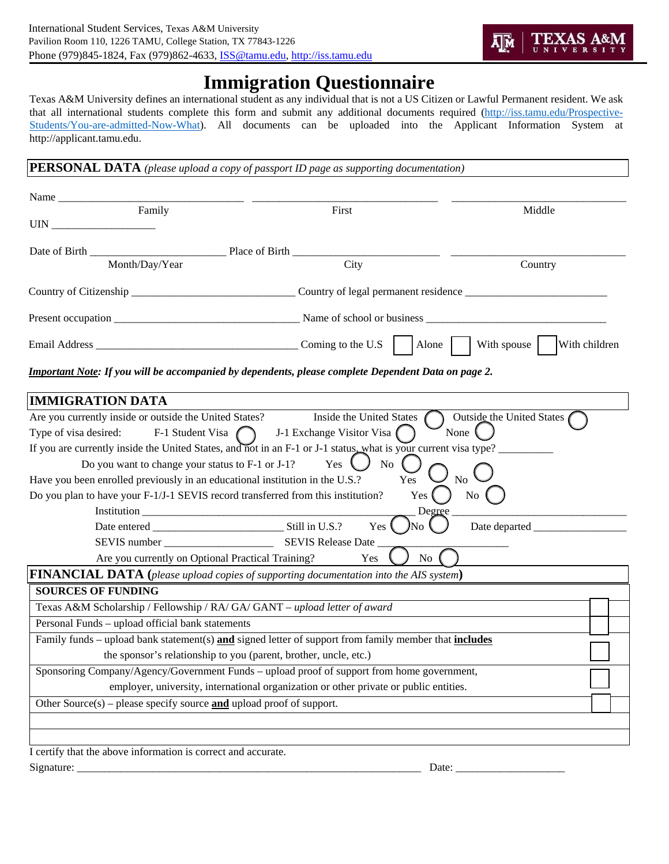

## **Immigration Questionnaire**

Texas A&M University defines an international student as any individual that is not a US Citizen or Lawful Permanent resident. We ask that all international students complete this form and submit any additional documents required (http://iss.tamu.edu/Prospective-Students/You-are-admitted-Now-What). All documents can be uploaded into the Applicant Information System at http://applicant.tamu.edu.

**PERSONAL DATA** *(please upload a copy of passport ID page as supporting documentation)*

| Name $\frac{1}{\sqrt{1-\frac{1}{2}}\left\lceil \frac{1}{2}\right\rceil}$<br>Family        | First                                                                                                           | Middle                       |
|-------------------------------------------------------------------------------------------|-----------------------------------------------------------------------------------------------------------------|------------------------------|
| UIN                                                                                       |                                                                                                                 |                              |
| Date of Birth Place of Birth                                                              |                                                                                                                 |                              |
| Month/Day/Year                                                                            | City                                                                                                            | Country                      |
|                                                                                           |                                                                                                                 |                              |
|                                                                                           |                                                                                                                 |                              |
|                                                                                           |                                                                                                                 | With children<br>With spouse |
|                                                                                           | <b>Important Note:</b> If you will be accompanied by dependents, please complete Dependent Data on page 2.      |                              |
| <b>IMMIGRATION DATA</b>                                                                   |                                                                                                                 |                              |
| Are you currently inside or outside the United States?                                    | Inside the United States                                                                                        | Outside the United States    |
| Type of visa desired:                                                                     | F-1 Student Visa $\bigcap$ J-1 Exchange Visitor Visa $\left(\bigcap$                                            | None                         |
|                                                                                           | If you are currently inside the United States, and not in an F-1 or J-1 status, what is your current visa type? |                              |
| Do you want to change your status to F-1 or J-1?                                          | Yes<br>No                                                                                                       |                              |
| Have you been enrolled previously in an educational institution in the U.S.?              | Yes                                                                                                             | N <sub>0</sub>               |
| Do you plan to have your F-1/J-1 SEVIS record transferred from this institution?          | $Yes$ (                                                                                                         | No                           |
|                                                                                           | Degree                                                                                                          |                              |
|                                                                                           | Yes<br>JNo                                                                                                      | Date departed                |
|                                                                                           |                                                                                                                 |                              |
| Are you currently on Optional Practical Training?                                         | N <sub>o</sub><br>Yes                                                                                           |                              |
|                                                                                           | <b>FINANCIAL DATA</b> (please upload copies of supporting documentation into the AIS system)                    |                              |
| <b>SOURCES OF FUNDING</b>                                                                 |                                                                                                                 |                              |
| Texas A&M Scholarship / Fellowship / RA/ GA/ GANT - upload letter of award                |                                                                                                                 |                              |
| Personal Funds - upload official bank statements                                          |                                                                                                                 |                              |
|                                                                                           | Family funds – upload bank statement(s) and signed letter of support from family member that includes           |                              |
| the sponsor's relationship to you (parent, brother, uncle, etc.)                          |                                                                                                                 |                              |
|                                                                                           | Sponsoring Company/Agency/Government Funds - upload proof of support from home government,                      |                              |
|                                                                                           | employer, university, international organization or other private or public entities.                           |                              |
| Other Source(s) – please specify source $\underline{\text{and}}$ upload proof of support. |                                                                                                                 |                              |
|                                                                                           |                                                                                                                 |                              |
|                                                                                           |                                                                                                                 |                              |
| I certify that the above information is correct and accurate.                             |                                                                                                                 |                              |

Signature: \_\_\_\_\_\_\_\_\_\_\_\_\_\_\_\_\_\_\_\_\_\_\_\_\_\_\_\_\_\_\_\_\_\_\_\_\_\_\_\_\_\_\_\_\_\_\_\_\_\_\_\_\_\_\_\_\_\_\_\_\_\_\_ Date: \_\_\_\_\_\_\_\_\_\_\_\_\_\_\_\_\_\_\_\_